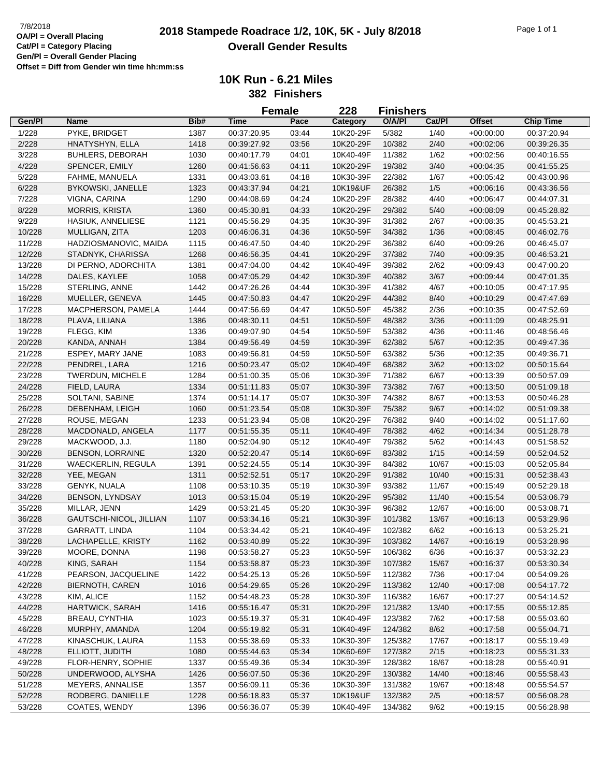## **2018 Stampede Roadrace 1/2, 10K, 5K - July 8/2018** 7/8/2018 Page 1 of 1 **Overall Gender Results**

|                  |                           |      |             | <b>Female</b> | 228                    | <b>Finishers</b> |        |                            |                            |
|------------------|---------------------------|------|-------------|---------------|------------------------|------------------|--------|----------------------------|----------------------------|
| Gen/Pl           | <b>Name</b>               | Bib# | <b>Time</b> | Pace          | Category               | O/A/PI           | Cat/Pl | <b>Offset</b>              | <b>Chip Time</b>           |
| 1/228            | PYKE, BRIDGET             | 1387 | 00:37:20.95 | 03:44         | 10K20-29F              | 5/382            | 1/40   | $+00:00:00$                | 00:37:20.94                |
| 2/228            | HNATYSHYN, ELLA           | 1418 | 00:39:27.92 | 03:56         | 10K20-29F              | 10/382           | 2/40   | $+00:02:06$                | 00:39:26.35                |
| 3/228            | <b>BUHLERS, DEBORAH</b>   | 1030 | 00:40:17.79 | 04:01         | 10K40-49F              | 11/382           | 1/62   | $+00:02:56$                | 00:40:16.55                |
| 4/228            | SPENCER, EMILY            | 1260 | 00:41:56.63 | 04:11         | 10K20-29F              | 19/382           | 3/40   | $+00:04:35$                | 00:41:55.25                |
| 5/228            | FAHME, MANUELA            | 1331 | 00:43:03.61 | 04:18         | 10K30-39F              | 22/382           | 1/67   | $+00:05:42$                | 00:43:00.96                |
| 6/228            | <b>BYKOWSKI, JANELLE</b>  | 1323 | 00:43:37.94 | 04:21         | 10K19&UF               | 26/382           | 1/5    | $+00:06:16$                | 00:43:36.56                |
| 7/228            | VIGNA, CARINA             | 1290 | 00:44:08.69 | 04:24         | 10K20-29F              | 28/382           | 4/40   | $+00:06:47$                | 00:44:07.31                |
| 8/228            | <b>MORRIS, KRISTA</b>     | 1360 | 00:45:30.81 | 04:33         | 10K20-29F              | 29/382           | 5/40   | $+00:08:09$                | 00:45:28.82                |
| 9/228            | HASIUK, ANNELIESE         | 1121 | 00:45:56.29 | 04:35         | 10K30-39F              | 31/382           | 2/67   | $+00:08:35$                | 00:45:53.21                |
| 10/228           | MULLIGAN, ZITA            | 1203 | 00:46:06.31 | 04:36         | 10K50-59F              | 34/382           | 1/36   | $+00:08:45$                | 00:46:02.76                |
| 11/228           | HADZIOSMANOVIC, MAIDA     | 1115 | 00:46:47.50 | 04:40         | 10K20-29F              | 36/382           | 6/40   | $+00:09:26$                | 00:46:45.07                |
| 12/228           | STADNYK, CHARISSA         | 1268 | 00:46:56.35 | 04:41         | 10K20-29F              | 37/382           | 7/40   | $+00:09:35$                | 00:46:53.21                |
| 13/228           | DI PERNO, ADORCHITA       | 1381 | 00:47:04.00 | 04:42         | 10K40-49F              | 39/382           | 2/62   | $+00:09:43$                | 00:47:00.20                |
| 14/228           | DALES, KAYLEE             | 1058 | 00:47:05.29 | 04:42         | 10K30-39F              | 40/382           | 3/67   | $+00:09:44$                | 00:47:01.35                |
| 15/228           | STERLING, ANNE            | 1442 | 00:47:26.26 | 04:44         | 10K30-39F              | 41/382           | 4/67   | $+00:10:05$                | 00:47:17.95                |
| 16/228           | MUELLER, GENEVA           | 1445 | 00:47:50.83 | 04:47         | 10K20-29F              | 44/382           | 8/40   | $+00:10:29$                | 00:47:47.69                |
| 17/228           | MACPHERSON, PAMELA        | 1444 | 00:47:56.69 | 04:47         | 10K50-59F              | 45/382           | 2/36   | $+00:10:35$                | 00:47:52.69                |
| 18/228           | PLAVA, LILIANA            | 1386 | 00:48:30.11 | 04:51         | 10K50-59F              | 48/382           | 3/36   | $+00:11:09$                | 00:48:25.91                |
| 19/228           | FLEGG, KIM                | 1336 | 00:49:07.90 | 04:54         | 10K50-59F              | 53/382           | 4/36   | $+00:11:46$                | 00:48:56.46                |
| 20/228           | KANDA, ANNAH              | 1384 | 00:49:56.49 | 04:59         | 10K30-39F              | 62/382           | 5/67   | $+00:12:35$                | 00:49:47.36                |
| 21/228           | ESPEY, MARY JANE          | 1083 | 00:49:56.81 | 04:59         | 10K50-59F              | 63/382           | 5/36   | $+00:12:35$                | 00:49:36.71                |
| 22/228           | PENDREL, LARA             | 1216 | 00:50:23.47 | 05:02         | 10K40-49F              | 68/382           | 3/62   | $+00:13:02$                | 00:50:15.64                |
| 23/228           | TWERDUN, MICHELE          | 1284 | 00:51:00.35 | 05:06         | 10K30-39F              | 71/382           | 6/67   | $+00:13:39$                | 00:50:57.09                |
| 24/228           | FIELD, LAURA              | 1334 | 00:51:11.83 | 05:07         | 10K30-39F              | 73/382           | 7/67   | $+00:13:50$                | 00:51:09.18                |
| 25/228           | SOLTANI, SABINE           | 1374 | 00:51:14.17 | 05:07         | 10K30-39F              | 74/382           | 8/67   | $+00:13:53$                | 00:50:46.28                |
| 26/228           | DEBENHAM, LEIGH           | 1060 | 00:51:23.54 | 05:08         | 10K30-39F              | 75/382           | 9/67   | $+00:14:02$                | 00:51:09.38                |
| 27/228           | ROUSE, MEGAN              | 1233 | 00:51:23.94 | 05:08         | 10K20-29F              | 76/382           | 9/40   | $+00:14:02$                | 00:51:17.60                |
| 28/228           | MACDONALD, ANGELA         | 1177 | 00:51:55.35 | 05:11         | 10K40-49F              | 78/382           | 4/62   | $+00:14:34$                | 00:51:28.78                |
| 29/228           | MACKWOOD, J.J.            | 1180 | 00:52:04.90 | 05:12         | 10K40-49F              | 79/382           | 5/62   | $+00:14:43$                | 00:51:58.52                |
| 30/228           | <b>BENSON, LORRAINE</b>   | 1320 | 00:52:20.47 | 05:14         | 10K60-69F              | 83/382           | 1/15   | $+00:14:59$                | 00:52:04.52                |
| 31/228           | <b>WAECKERLIN, REGULA</b> | 1391 | 00:52:24.55 | 05:14         | 10K30-39F              | 84/382           | 10/67  | $+00:15:03$                | 00:52:05.84                |
| 32/228           | YEE, MEGAN                | 1311 | 00:52:52.51 | 05:17         | 10K20-29F              | 91/382           | 10/40  | $+00:15:31$                | 00:52:38.43                |
| 33/228           | <b>GENYK, NUALA</b>       | 1108 | 00:53:10.35 | 05:19         | 10K30-39F              | 93/382           | 11/67  | $+00:15:49$                | 00:52:29.18                |
| 34/228           | <b>BENSON, LYNDSAY</b>    | 1013 | 00:53:15.04 | 05:19         | 10K20-29F              | 95/382           | 11/40  | $+00:15:54$                | 00:53:06.79                |
| 35/228           | MILLAR, JENN              | 1429 | 00:53:21.45 | 05:20         | 10K30-39F              | 96/382           | 12/67  | $+00:16:00$                | 00:53:08.71                |
| 36/228           | GAUTSCHI-NICOL, JILLIAN   | 1107 | 00:53:34.16 | 05:21         | 10K30-39F              | 101/382          | 13/67  |                            |                            |
| 37/228           | <b>GARRATT, LINDA</b>     | 1104 | 00:53:34.42 | 05:21         | 10K40-49F              | 102/382          | 6/62   | $+00:16:13$<br>$+00:16:13$ | 00:53:29.96<br>00:53:25.21 |
|                  |                           |      | 00:53:40.89 | 05:22         |                        |                  | 14/67  |                            |                            |
| 38/228           | LACHAPELLE, KRISTY        | 1162 |             |               | 10K30-39F              | 103/382          |        | $+00:16:19$                | 00:53:28.96                |
| 39/228<br>40/228 | MOORE, DONNA              | 1198 | 00:53:58.27 | 05:23         | 10K50-59F              | 106/382          | 6/36   | $+00:16:37$                | 00:53:32.23                |
|                  | KING, SARAH               | 1154 | 00:53:58.87 | 05:23         | 10K30-39F              | 107/382          | 15/67  | $+00:16:37$                | 00:53:30.34                |
| 41/228           | PEARSON, JACQUELINE       | 1422 | 00:54:25.13 | 05:26         | 10K50-59F              | 112/382          | 7/36   | $+00:17:04$                | 00:54:09.26                |
| 42/228           | <b>BIERNOTH, CAREN</b>    | 1016 | 00:54:29.65 | 05:26         | 10K20-29F<br>10K30-39F | 113/382          | 12/40  | $+00:17:08$                | 00:54:17.72                |
| 43/228           | KIM, ALICE                | 1152 | 00:54:48.23 | 05:28         |                        | 116/382          | 16/67  | $+00:17:27$                | 00:54:14.52                |
| 44/228           | <b>HARTWICK, SARAH</b>    | 1416 | 00:55:16.47 | 05:31         | 10K20-29F              | 121/382          | 13/40  | $+00:17:55$                | 00:55:12.85                |
| 45/228           | BREAU, CYNTHIA            | 1023 | 00:55:19.37 | 05:31         | 10K40-49F              | 123/382          | 7/62   | $+00:17:58$                | 00:55:03.60                |
| 46/228           | MURPHY, AMANDA            | 1204 | 00:55:19.82 | 05:31         | 10K40-49F              | 124/382          | 8/62   | $+00:17:58$                | 00:55:04.71                |
| 47/228           | KINASCHUK, LAURA          | 1153 | 00:55:38.69 | 05:33         | 10K30-39F              | 125/382          | 17/67  | $+00:18:17$                | 00:55:19.49                |
| 48/228           | ELLIOTT, JUDITH           | 1080 | 00:55:44.63 | 05:34         | 10K60-69F              | 127/382          | 2/15   | $+00:18:23$                | 00:55:31.33                |
| 49/228           | FLOR-HENRY, SOPHIE        | 1337 | 00:55:49.36 | 05:34         | 10K30-39F              | 128/382          | 18/67  | $+00:18:28$                | 00:55:40.91                |
| 50/228           | UNDERWOOD, ALYSHA         | 1426 | 00:56:07.50 | 05:36         | 10K20-29F              | 130/382          | 14/40  | $+00.18:46$                | 00:55:58.43                |
| 51/228           | MEYERS, ANNALISE          | 1357 | 00:56:09.11 | 05:36         | 10K30-39F              | 131/382          | 19/67  | $+00:18:48$                | 00:55:54.57                |
| 52/228           | RODBERG, DANIELLE         | 1228 | 00:56:18.83 | 05:37         | 10K19&UF               | 132/382          | 2/5    | $+00:18:57$                | 00:56:08.28                |
| 53/228           | COATES, WENDY             | 1396 | 00:56:36.07 | 05:39         | 10K40-49F              | 134/382          | 9/62   | $+00:19:15$                | 00:56:28.98                |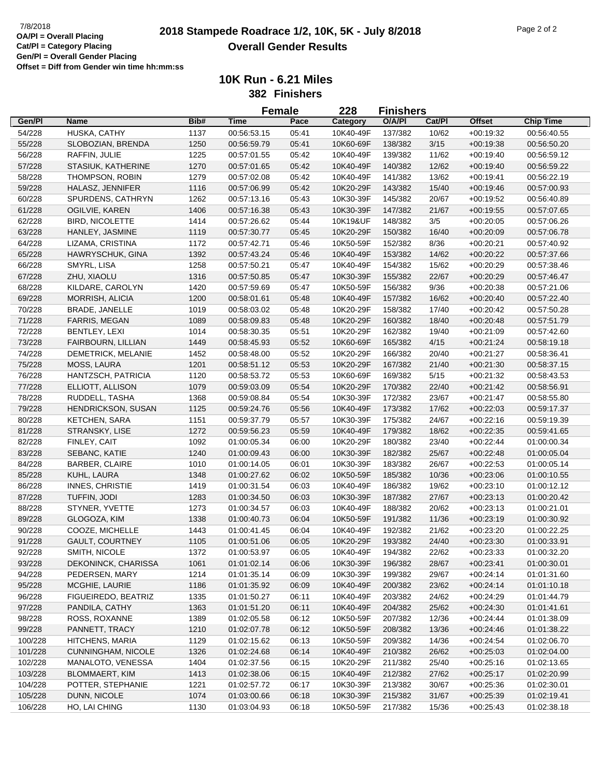|                    |                                   |              |                            | <b>Female</b>  | 228                    | <b>Finishers</b>   |                |               |                            |
|--------------------|-----------------------------------|--------------|----------------------------|----------------|------------------------|--------------------|----------------|---------------|----------------------------|
| Gen/Pl             | Name                              | Bib#         | <b>Time</b>                | Pace           | Category               | O/A/PI             | Cat/Pl         | <b>Offset</b> | <b>Chip Time</b>           |
| 54/228             | HUSKA, CATHY                      | 1137         | 00:56:53.15                | 05:41          | 10K40-49F              | 137/382            | 10/62          | $+00:19:32$   | 00:56:40.55                |
| 55/228             | SLOBOZIAN, BRENDA                 | 1250         | 00:56:59.79                | 05:41          | 10K60-69F              | 138/382            | 3/15           | $+00:19:38$   | 00:56:50.20                |
| 56/228             | RAFFIN, JULIE                     | 1225         | 00:57:01.55                | 05:42          | 10K40-49F              | 139/382            | 11/62          | $+00:19:40$   | 00:56:59.12                |
| 57/228             | STASIUK, KATHERINE                | 1270         | 00:57:01.65                | 05:42          | 10K40-49F              | 140/382            | 12/62          | $+00:19:40$   | 00:56:59.22                |
| 58/228             | THOMPSON, ROBIN                   | 1279         | 00:57:02.08                | 05:42          | 10K40-49F              | 141/382            | 13/62          | $+00:19:41$   | 00:56:22.19                |
| 59/228             | HALASZ, JENNIFER                  | 1116         | 00:57:06.99                | 05:42          | 10K20-29F              | 143/382            | 15/40          | $+00:19:46$   | 00:57:00.93                |
| 60/228             | SPURDENS, CATHRYN                 | 1262         | 00:57:13.16                | 05:43          | 10K30-39F              | 145/382            | 20/67          | $+00:19:52$   | 00:56:40.89                |
| 61/228             | OGILVIE, KAREN                    | 1406         | 00:57:16.38                | 05:43          | 10K30-39F              | 147/382            | 21/67          | $+00:19:55$   | 00:57:07.65                |
| 62/228             | <b>BIRD, NICOLETTE</b>            | 1414         | 00:57:26.62                | 05:44          | 10K19&UF               | 148/382            | 3/5            | $+00:20:05$   | 00:57:06.26                |
| 63/228             | HANLEY, JASMINE                   | 1119         | 00:57:30.77                | 05:45          | 10K20-29F              | 150/382            | 16/40          | $+00:20:09$   | 00:57:06.78                |
| 64/228             | LIZAMA, CRISTINA                  | 1172         | 00:57:42.71                | 05:46          | 10K50-59F              | 152/382            | 8/36           | $+00:20:21$   | 00:57:40.92                |
| 65/228             | HAWRYSCHUK, GINA                  | 1392         | 00:57:43.24                | 05:46          | 10K40-49F              | 153/382            | 14/62          | $+00:20:22$   | 00:57:37.66                |
| 66/228             | SMYRL, LISA                       | 1258         | 00:57:50.21                | 05:47          | 10K40-49F              | 154/382            | 15/62          | $+00:20:29$   | 00:57:38.46                |
| 67/228             | ZHU, XIAOLU                       | 1316         | 00:57:50.85                | 05:47          | 10K30-39F              | 155/382            | 22/67          | $+00:20:29$   | 00:57:46.47                |
| 68/228             | KILDARE, CAROLYN                  | 1420         | 00:57:59.69                | 05:47          | 10K50-59F              | 156/382            | 9/36           | $+00:20:38$   | 00:57:21.06                |
| 69/228             | <b>MORRISH, ALICIA</b>            | 1200         | 00:58:01.61                | 05:48          | 10K40-49F              | 157/382            | 16/62          | $+00:20:40$   | 00:57:22.40                |
| 70/228             | <b>BRADE, JANELLE</b>             | 1019         | 00:58:03.02                | 05:48          | 10K20-29F              | 158/382            | 17/40          | $+00:20:42$   | 00:57:50.28                |
| 71/228             | FARRIS, MEGAN                     | 1089         | 00:58:09.83                | 05:48          | 10K20-29F              | 160/382            | 18/40          | $+00:20:48$   | 00:57:51.79                |
| 72/228             | BENTLEY, LEXI                     | 1014         | 00:58:30.35                | 05:51          | 10K20-29F              | 162/382            | 19/40          | $+00:21:09$   | 00:57:42.60                |
| 73/228             | FAIRBOURN, LILLIAN                | 1449         | 00:58:45.93                | 05:52          | 10K60-69F              | 165/382            | 4/15           | $+00:21:24$   | 00:58:19.18                |
| 74/228             | DEMETRICK, MELANIE                | 1452         | 00:58:48.00                | 05:52          | 10K20-29F              | 166/382            | 20/40          | $+00:21:27$   | 00:58:36.41                |
| 75/228             | MOSS, LAURA                       | 1201         | 00:58:51.12                | 05:53          | 10K20-29F              | 167/382            | 21/40          | $+00:21:30$   | 00:58:37.15                |
| 76/228             | HANTZSCH, PATRICIA                | 1120         | 00:58:53.72                | 05:53          | 10K60-69F              | 169/382            | 5/15           | $+00:21:32$   | 00:58:43.53                |
| 77/228             | ELLIOTT, ALLISON                  | 1079         | 00:59:03.09                | 05:54          | 10K20-29F              | 170/382            | 22/40          | $+00:21:42$   | 00:58:56.91                |
| 78/228             | RUDDELL, TASHA                    | 1368         | 00:59:08.84                | 05:54          | 10K30-39F              | 172/382            | 23/67          | $+00:21:47$   | 00:58:55.80                |
| 79/228             | HENDRICKSON, SUSAN                | 1125         | 00:59:24.76                | 05:56          | 10K40-49F              | 173/382            | 17/62          | $+00:22:03$   | 00:59:17.37                |
| 80/228             | <b>KETCHEN, SARA</b>              | 1151         | 00:59:37.79                | 05:57          | 10K30-39F              | 175/382            | 24/67          | $+00:22:16$   | 00:59:19.39                |
| 81/228             | STRANSKY, LISE                    | 1272         | 00:59:56.23                | 05:59          | 10K40-49F              | 179/382            | 18/62          | $+00:22:35$   | 00:59:41.65                |
| 82/228             | FINLEY, CAIT                      | 1092         | 01:00:05.34                | 06:00          | 10K20-29F              | 180/382            | 23/40          | $+00:22:44$   | 01:00:00.34                |
| 83/228             | SEBANC, KATIE                     | 1240         | 01:00:09.43                | 06:00          | 10K30-39F              | 182/382            | 25/67          | $+00:22:48$   | 01:00:05.04                |
| 84/228             | <b>BARBER, CLAIRE</b>             | 1010         | 01:00:14.05                | 06:01          | 10K30-39F              | 183/382            | 26/67          | $+00:22:53$   | 01:00:05.14                |
| 85/228             | KUHL, LAURA                       | 1348         | 01:00:27.62                | 06:02          | 10K50-59F              | 185/382            | 10/36          | $+00:23:06$   | 01:00:10.55                |
| 86/228             | <b>INNES, CHRISTIE</b>            | 1419         | 01:00:31.54                | 06:03          | 10K40-49F              | 186/382            | 19/62          | $+00:23:10$   | 01:00:12.12                |
| 87/228             | TUFFIN, JODI                      | 1283         | 01:00:34.50                | 06:03          | 10K30-39F              | 187/382            | 27/67          | $+00:23:13$   | 01:00:20.42                |
| 88/228             | STYNER, YVETTE                    | 1273         | 01:00:34.57                | 06:03          | 10K40-49F              | 188/382            | 20/62          | $+00:23:13$   | 01:00:21.01                |
| 89/228             | GLOGOZA, KIM                      | 1338         | 01:00:40.73                | 06:04          | 10K50-59F              | 191/382            | 11/36          | $+00:23:19$   | 01:00:30.92                |
| 90/228             | COOZE, MICHELLE                   | 1443         | 01:00:41.45                | 06:04          | 10K40-49F              | 192/382            | 21/62          | $+00:23:20$   | 01:00:22.25                |
| 91/228             | <b>GAULT, COURTNEY</b>            | 1105         | 01:00:51.06                | 06:05          | 10K20-29F              | 193/382            | 24/40          | $+00:23:30$   | 01:00:33.91                |
| 92/228             | SMITH, NICOLE                     | 1372         | 01:00:53.97                | 06:05          | 10K40-49F              | 194/382            | 22/62          | $+00:23:33$   | 01:00:32.20                |
| 93/228             | DEKONINCK, CHARISSA               | 1061         | 01:01:02.14                | 06:06          | 10K30-39F              | 196/382            | 28/67          | $+00:23:41$   | 01:00:30.01                |
| 94/228             | PEDERSEN, MARY                    | 1214         | 01:01:35.14                | 06:09          | 10K30-39F              | 199/382            | 29/67          | $+00:24:14$   | 01:01:31.60                |
| 95/228             | MCGHIE, LAURIE                    | 1186         | 01:01:35.92                | 06:09          | 10K40-49F              | 200/382            | 23/62          | $+00.24:14$   | 01:01:10.18                |
| 96/228             | FIGUEIREDO, BEATRIZ               | 1335         | 01:01:50.27                | 06:11          | 10K40-49F              | 203/382            | 24/62          | $+00:24:29$   | 01:01:44.79                |
| 97/228             | PANDILA, CATHY                    | 1363         | 01:01:51.20                | 06:11          | 10K40-49F              | 204/382            | 25/62          | $+00:24:30$   | 01:01:41.61                |
| 98/228             | ROSS, ROXANNE                     | 1389         | 01:02:05.58                | 06:12          | 10K50-59F              | 207/382            | 12/36          | $+00.24:44$   | 01:01:38.09                |
|                    |                                   |              |                            |                |                        |                    | 13/36          | $+00:24:46$   |                            |
| 99/228<br>100/228  | PANNETT, TRACY<br>HITCHENS, MARIA | 1210<br>1129 | 01:02:07.78<br>01:02:15.62 | 06:12<br>06:13 | 10K50-59F<br>10K50-59F | 208/382<br>209/382 | 14/36          | $+00:24:54$   | 01:01:38.22<br>01:02:06.70 |
| 101/228            | CUNNINGHAM, NICOLE                | 1326         | 01:02:24.68                | 06:14          | 10K40-49F              | 210/382            | 26/62          | $+00:25:03$   | 01:02:04.00                |
| 102/228            | MANALOTO, VENESSA                 | 1404         | 01:02:37.56                | 06:15          | 10K20-29F              | 211/382            | 25/40          | $+00:25:16$   | 01:02:13.65                |
|                    | <b>BLOMMAERT, KIM</b>             |              |                            |                | 10K40-49F              | 212/382            |                |               |                            |
| 103/228<br>104/228 |                                   | 1413<br>1221 | 01:02:38.06                | 06:15          | 10K30-39F              |                    | 27/62<br>30/67 | $+00:25:17$   | 01:02:20.99                |
|                    | POTTER, STEPHANIE                 |              | 01:02:57.72                | 06:17          |                        | 213/382            |                | $+00:25:36$   | 01:02:30.01                |
| 105/228            | DUNN, NICOLE                      | 1074         | 01:03:00.66                | 06:18          | 10K30-39F              | 215/382            | 31/67          | $+00:25:39$   | 01:02:19.41                |
| 106/228            | HO, LAI CHING                     | 1130         | 01:03:04.93                | 06:18          | 10K50-59F              | 217/382            | 15/36          | $+00:25:43$   | 01:02:38.18                |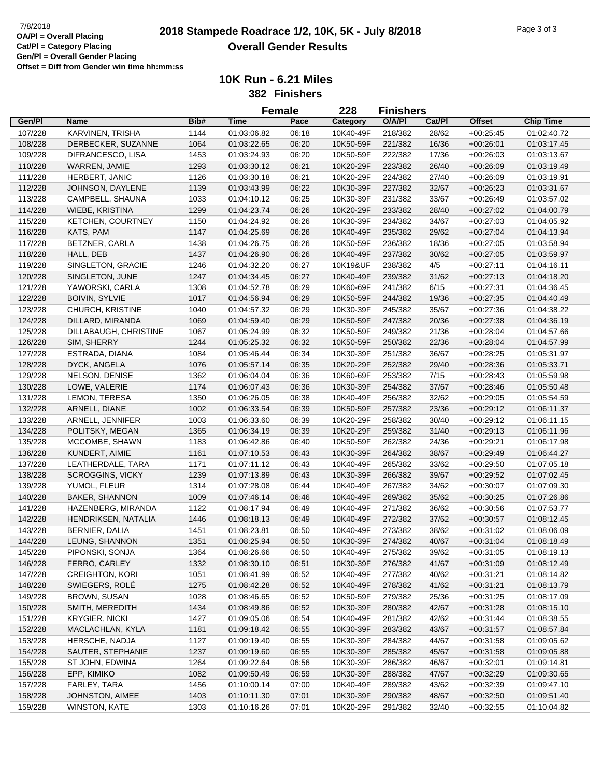**10K Run - 6.21 Miles**

**382 Finishers**

|         |                          |      |             | <b>Female</b> | 228       | <b>Finishers</b> |        |               |                  |  |
|---------|--------------------------|------|-------------|---------------|-----------|------------------|--------|---------------|------------------|--|
| Gen/Pl  | Name                     | Bib# | <b>Time</b> | Pace          | Category  | O/A/PI           | Cat/Pl | <b>Offset</b> | <b>Chip Time</b> |  |
| 107/228 | KARVINEN, TRISHA         | 1144 | 01:03:06.82 | 06:18         | 10K40-49F | 218/382          | 28/62  | $+00:25:45$   | 01:02:40.72      |  |
| 108/228 | DERBECKER, SUZANNE       | 1064 | 01:03:22.65 | 06:20         | 10K50-59F | 221/382          | 16/36  | $+00:26:01$   | 01:03:17.45      |  |
| 109/228 | DIFRANCESCO, LISA        | 1453 | 01:03:24.93 | 06:20         | 10K50-59F | 222/382          | 17/36  | $+00:26:03$   | 01:03:13.67      |  |
| 110/228 | WARREN, JAMIE            | 1293 | 01:03:30.12 | 06:21         | 10K20-29F | 223/382          | 26/40  | $+00:26:09$   | 01:03:19.49      |  |
| 111/228 | HERBERT, JANIC           | 1126 | 01:03:30.18 | 06:21         | 10K20-29F | 224/382          | 27/40  | $+00:26:09$   | 01:03:19.91      |  |
| 112/228 | JOHNSON, DAYLENE         | 1139 | 01:03:43.99 | 06:22         | 10K30-39F | 227/382          | 32/67  | $+00:26:23$   | 01:03:31.67      |  |
| 113/228 | CAMPBELL, SHAUNA         | 1033 | 01:04:10.12 | 06:25         | 10K30-39F | 231/382          | 33/67  | $+00:26:49$   | 01:03:57.02      |  |
| 114/228 | WIEBE, KRISTINA          | 1299 | 01:04:23.74 | 06:26         | 10K20-29F | 233/382          | 28/40  | $+00:27:02$   | 01:04:00.79      |  |
| 115/228 | <b>KETCHEN, COURTNEY</b> | 1150 | 01:04:24.92 | 06:26         | 10K30-39F | 234/382          | 34/67  | $+00:27:03$   | 01:04:05.92      |  |
| 116/228 | KATS, PAM                | 1147 | 01:04:25.69 | 06:26         | 10K40-49F | 235/382          | 29/62  | $+00:27:04$   | 01:04:13.94      |  |
| 117/228 | BETZNER, CARLA           | 1438 | 01:04:26.75 | 06:26         | 10K50-59F | 236/382          | 18/36  | $+00:27:05$   | 01:03:58.94      |  |
| 118/228 | HALL, DEB                | 1437 | 01:04:26.90 |               | 10K40-49F | 237/382          | 30/62  |               |                  |  |
|         |                          |      |             | 06:26         |           |                  |        | $+00:27:05$   | 01:03:59.97      |  |
| 119/228 | SINGLETON, GRACIE        | 1246 | 01:04:32.20 | 06:27         | 10K19&UF  | 238/382          | 4/5    | $+00:27:11$   | 01:04:16.11      |  |
| 120/228 | SINGLETON, JUNE          | 1247 | 01:04:34.45 | 06:27         | 10K40-49F | 239/382          | 31/62  | $+00:27:13$   | 01:04:18.20      |  |
| 121/228 | YAWORSKI, CARLA          | 1308 | 01:04:52.78 | 06:29         | 10K60-69F | 241/382          | 6/15   | $+00:27:31$   | 01:04:36.45      |  |
| 122/228 | <b>BOIVIN, SYLVIE</b>    | 1017 | 01:04:56.94 | 06:29         | 10K50-59F | 244/382          | 19/36  | $+00:27:35$   | 01:04:40.49      |  |
| 123/228 | CHURCH, KRISTINE         | 1040 | 01:04:57.32 | 06:29         | 10K30-39F | 245/382          | 35/67  | $+00:27:36$   | 01:04:38.22      |  |
| 124/228 | DILLARD, MIRANDA         | 1069 | 01:04:59.40 | 06:29         | 10K50-59F | 247/382          | 20/36  | $+00:27:38$   | 01:04:36.19      |  |
| 125/228 | DILLABAUGH, CHRISTINE    | 1067 | 01:05:24.99 | 06:32         | 10K50-59F | 249/382          | 21/36  | $+00:28:04$   | 01:04:57.66      |  |
| 126/228 | SIM, SHERRY              | 1244 | 01:05:25.32 | 06:32         | 10K50-59F | 250/382          | 22/36  | $+00:28:04$   | 01:04:57.99      |  |
| 127/228 | ESTRADA, DIANA           | 1084 | 01:05:46.44 | 06:34         | 10K30-39F | 251/382          | 36/67  | $+00:28:25$   | 01:05:31.97      |  |
| 128/228 | DYCK, ANGELA             | 1076 | 01:05:57.14 | 06:35         | 10K20-29F | 252/382          | 29/40  | $+00:28:36$   | 01:05:33.71      |  |
| 129/228 | NELSON, DENISE           | 1362 | 01:06:04.04 | 06:36         | 10K60-69F | 253/382          | 7/15   | $+00:28:43$   | 01:05:59.98      |  |
| 130/228 | LOWE, VALERIE            | 1174 | 01:06:07.43 | 06:36         | 10K30-39F | 254/382          | 37/67  | $+00:28:46$   | 01:05:50.48      |  |
| 131/228 | LEMON, TERESA            | 1350 | 01:06:26.05 | 06:38         | 10K40-49F | 256/382          | 32/62  | $+00:29:05$   | 01:05:54.59      |  |
| 132/228 | ARNELL, DIANE            | 1002 | 01:06:33.54 | 06:39         | 10K50-59F | 257/382          | 23/36  | $+00:29:12$   | 01:06:11.37      |  |
| 133/228 | ARNELL, JENNIFER         | 1003 | 01:06:33.60 | 06:39         | 10K20-29F | 258/382          | 30/40  | $+00:29:12$   | 01:06:11.15      |  |
| 134/228 | POLITSKY, MEGAN          | 1365 | 01:06:34.19 | 06:39         | 10K20-29F | 259/382          | 31/40  | $+00:29:13$   | 01:06:11.96      |  |
| 135/228 | MCCOMBE, SHAWN           | 1183 | 01:06:42.86 | 06:40         | 10K50-59F | 262/382          | 24/36  | $+00:29:21$   | 01:06:17.98      |  |
| 136/228 | KUNDERT, AIMIE           | 1161 | 01:07:10.53 | 06:43         | 10K30-39F | 264/382          | 38/67  | $+00:29:49$   | 01:06:44.27      |  |
| 137/228 | LEATHERDALE, TARA        | 1171 | 01:07:11.12 | 06:43         | 10K40-49F | 265/382          | 33/62  | $+00:29:50$   | 01:07:05.18      |  |
| 138/228 | <b>SCROGGINS, VICKY</b>  | 1239 | 01:07:13.89 | 06:43         | 10K30-39F | 266/382          | 39/67  | $+00:29:52$   | 01:07:02.45      |  |
| 139/228 | YUMOL, FLEUR             | 1314 | 01:07:28.08 | 06:44         | 10K40-49F | 267/382          | 34/62  | $+00:30:07$   | 01:07:09.30      |  |
| 140/228 | <b>BAKER, SHANNON</b>    | 1009 | 01:07:46.14 | 06:46         | 10K40-49F | 269/382          | 35/62  | $+00:30:25$   | 01:07:26.86      |  |
|         |                          |      |             |               |           |                  |        |               |                  |  |
| 141/228 | HAZENBERG, MIRANDA       | 1122 | 01:08:17.94 | 06:49         | 10K40-49F | 271/382          | 36/62  | $+00:30:56$   | 01:07:53.77      |  |
| 142/228 | HENDRIKSEN, NATALIA      | 1446 | 01:08:18.13 | 06:49         | 10K40-49F | 272/382          | 37/62  | $+00:30:57$   | 01:08:12.45      |  |
| 143/228 | BERNIER, DALIA           | 1451 | 01:08:23.81 | 06:50         | 10K40-49F | 273/382          | 38/62  | $+00:31:02$   | 01:08:06.09      |  |
| 144/228 | LEUNG, SHANNON           | 1351 | 01:08:25.94 | 06:50         | 10K30-39F | 274/382          | 40/67  | $+00:31:04$   | 01:08:18.49      |  |
| 145/228 | PIPONSKI, SONJA          | 1364 | 01:08:26.66 | 06:50         | 10K40-49F | 275/382          | 39/62  | $+00.31:05$   | 01:08:19.13      |  |
| 146/228 | FERRO, CARLEY            | 1332 | 01:08:30.10 | 06:51         | 10K30-39F | 276/382          | 41/67  | $+00:31:09$   | 01:08:12.49      |  |
| 147/228 | <b>CREIGHTON, KORI</b>   | 1051 | 01:08:41.99 | 06:52         | 10K40-49F | 277/382          | 40/62  | $+00:31:21$   | 01:08:14.82      |  |
| 148/228 | SWIEGERS, ROLÉ           | 1275 | 01:08:42.28 | 06:52         | 10K40-49F | 278/382          | 41/62  | $+00:31:21$   | 01:08:13.79      |  |
| 149/228 | <b>BROWN, SUSAN</b>      | 1028 | 01:08:46.65 | 06:52         | 10K50-59F | 279/382          | 25/36  | $+00:31:25$   | 01:08:17.09      |  |
| 150/228 | SMITH, MEREDITH          | 1434 | 01:08:49.86 | 06:52         | 10K30-39F | 280/382          | 42/67  | $+00:31:28$   | 01:08:15.10      |  |
| 151/228 | <b>KRYGIER, NICKI</b>    | 1427 | 01:09:05.06 | 06:54         | 10K40-49F | 281/382          | 42/62  | $+00.31:44$   | 01:08:38.55      |  |
| 152/228 | MACLACHLAN, KYLA         | 1181 | 01:09:18.42 | 06:55         | 10K30-39F | 283/382          | 43/67  | $+00.31.57$   | 01:08:57.84      |  |
| 153/228 | HERSCHE, NADJA           | 1127 | 01:09:19.40 | 06:55         | 10K30-39F | 284/382          | 44/67  | $+00:31:58$   | 01:09:05.62      |  |
| 154/228 | SAUTER, STEPHANIE        | 1237 | 01:09:19.60 | 06:55         | 10K30-39F | 285/382          | 45/67  | $+00.31.58$   | 01:09:05.88      |  |
| 155/228 | ST JOHN, EDWINA          | 1264 | 01:09:22.64 | 06:56         | 10K30-39F | 286/382          | 46/67  | $+00:32:01$   | 01:09:14.81      |  |
| 156/228 | EPP, KIMIKO              | 1082 | 01:09:50.49 | 06:59         | 10K30-39F | 288/382          | 47/67  | $+00:32:29$   | 01:09:30.65      |  |
| 157/228 | FARLEY, TARA             | 1456 | 01:10:00.14 | 07:00         | 10K40-49F | 289/382          | 43/62  | $+00:32:39$   | 01:09:47.10      |  |
| 158/228 | JOHNSTON, AIMEE          | 1403 | 01:10:11.30 | 07:01         | 10K30-39F | 290/382          | 48/67  | $+00:32:50$   | 01:09:51.40      |  |
| 159/228 | WINSTON, KATE            | 1303 | 01:10:16.26 | 07:01         | 10K20-29F | 291/382          | 32/40  | $+00:32:55$   | 01:10:04.82      |  |
|         |                          |      |             |               |           |                  |        |               |                  |  |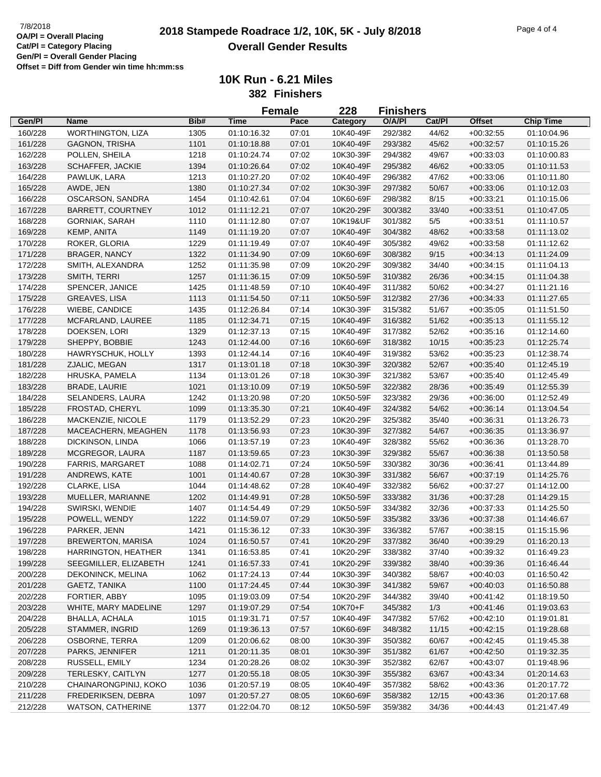|         |                          |      |             | <b>Female</b> | 228       | <b>Finishers</b> |        |               |                  |
|---------|--------------------------|------|-------------|---------------|-----------|------------------|--------|---------------|------------------|
| Gen/Pl  | Name                     | Bib# | <b>Time</b> | Pace          | Category  | O/A/PI           | Cat/Pl | <b>Offset</b> | <b>Chip Time</b> |
| 160/228 | <b>WORTHINGTON, LIZA</b> | 1305 | 01:10:16.32 | 07:01         | 10K40-49F | 292/382          | 44/62  | $+00:32:55$   | 01:10:04.96      |
| 161/228 | <b>GAGNON, TRISHA</b>    | 1101 | 01:10:18.88 | 07:01         | 10K40-49F | 293/382          | 45/62  | $+00:32:57$   | 01:10:15.26      |
| 162/228 | POLLEN, SHEILA           | 1218 | 01:10:24.74 | 07:02         | 10K30-39F | 294/382          | 49/67  | $+00:33:03$   | 01:10:00.83      |
| 163/228 | <b>SCHAFFER, JACKIE</b>  | 1394 | 01:10:26.64 | 07:02         | 10K40-49F | 295/382          | 46/62  | $+00:33:05$   | 01:10:11.53      |
| 164/228 | PAWLUK, LARA             | 1213 | 01:10:27.20 | 07:02         | 10K40-49F | 296/382          | 47/62  | $+00:33:06$   | 01:10:11.80      |
| 165/228 | AWDE, JEN                | 1380 | 01:10:27.34 | 07:02         | 10K30-39F | 297/382          | 50/67  | $+00:33:06$   | 01:10:12.03      |
| 166/228 | OSCARSON, SANDRA         | 1454 | 01:10:42.61 | 07:04         | 10K60-69F | 298/382          | 8/15   | $+00:33:21$   | 01:10:15.06      |
| 167/228 | <b>BARRETT, COURTNEY</b> | 1012 | 01:11:12.21 | 07:07         | 10K20-29F | 300/382          | 33/40  | $+00:33:51$   | 01:10:47.05      |
| 168/228 | <b>GORNIAK, SARAH</b>    | 1110 | 01:11:12.80 | 07:07         | 10K19&UF  | 301/382          | 5/5    | $+00:33:51$   | 01:11:10.57      |
| 169/228 | KEMP, ANITA              | 1149 | 01:11:19.20 | 07:07         | 10K40-49F | 304/382          | 48/62  | $+00:33:58$   | 01:11:13.02      |
| 170/228 | ROKER, GLORIA            | 1229 | 01:11:19.49 | 07:07         | 10K40-49F | 305/382          | 49/62  | $+00:33:58$   | 01:11:12.62      |
| 171/228 | <b>BRAGER, NANCY</b>     | 1322 | 01:11:34.90 | 07:09         | 10K60-69F | 308/382          | 9/15   | $+00:34:13$   | 01:11:24.09      |
| 172/228 | SMITH, ALEXANDRA         | 1252 | 01:11:35.98 | 07:09         | 10K20-29F | 309/382          | 34/40  | $+00:34:15$   | 01:11:04.13      |
| 173/228 | SMITH, TERRI             | 1257 | 01:11:36.15 | 07:09         | 10K50-59F | 310/382          | 26/36  | $+00:34:15$   | 01:11:04.38      |
| 174/228 | SPENCER, JANICE          | 1425 | 01:11:48.59 | 07:10         | 10K40-49F | 311/382          | 50/62  | $+00:34:27$   | 01:11:21.16      |
| 175/228 | GREAVES, LISA            | 1113 | 01:11:54.50 | 07:11         | 10K50-59F | 312/382          | 27/36  | $+00:34:33$   | 01:11:27.65      |
| 176/228 | WIEBE, CANDICE           | 1435 | 01:12:26.84 | 07:14         | 10K30-39F | 315/382          | 51/67  |               |                  |
|         |                          |      |             |               | 10K40-49F |                  |        | $+00:35:05$   | 01:11:51.50      |
| 177/228 | MCFARLAND, LAUREE        | 1185 | 01:12:34.71 | 07:15         |           | 316/382          | 51/62  | $+00:35:13$   | 01:11:55.12      |
| 178/228 | DOEKSEN, LORI            | 1329 | 01:12:37.13 | 07:15         | 10K40-49F | 317/382          | 52/62  | $+00:35:16$   | 01:12:14.60      |
| 179/228 | SHEPPY, BOBBIE           | 1243 | 01:12:44.00 | 07:16         | 10K60-69F | 318/382          | 10/15  | $+00:35:23$   | 01:12:25.74      |
| 180/228 | HAWRYSCHUK, HOLLY        | 1393 | 01:12:44.14 | 07:16         | 10K40-49F | 319/382          | 53/62  | $+00:35:23$   | 01:12:38.74      |
| 181/228 | ZJALIC, MEGAN            | 1317 | 01:13:01.18 | 07:18         | 10K30-39F | 320/382          | 52/67  | $+00:35:40$   | 01:12:45.19      |
| 182/228 | HRUSKA, PAMELA           | 1134 | 01:13:01.26 | 07:18         | 10K30-39F | 321/382          | 53/67  | $+00:35:40$   | 01:12:45.49      |
| 183/228 | <b>BRADE, LAURIE</b>     | 1021 | 01:13:10.09 | 07:19         | 10K50-59F | 322/382          | 28/36  | $+00:35:49$   | 01:12:55.39      |
| 184/228 | SELANDERS, LAURA         | 1242 | 01:13:20.98 | 07:20         | 10K50-59F | 323/382          | 29/36  | $+00:36:00$   | 01:12:52.49      |
| 185/228 | FROSTAD, CHERYL          | 1099 | 01:13:35.30 | 07:21         | 10K40-49F | 324/382          | 54/62  | $+00:36:14$   | 01:13:04.54      |
| 186/228 | MACKENZIE, NICOLE        | 1179 | 01:13:52.29 | 07:23         | 10K20-29F | 325/382          | 35/40  | $+00:36:31$   | 01:13:26.73      |
| 187/228 | MACEACHERN, MEAGHEN      | 1178 | 01:13:56.93 | 07:23         | 10K30-39F | 327/382          | 54/67  | $+00:36:35$   | 01:13:36.97      |
| 188/228 | DICKINSON, LINDA         | 1066 | 01:13:57.19 | 07:23         | 10K40-49F | 328/382          | 55/62  | $+00:36:36$   | 01:13:28.70      |
| 189/228 | MCGREGOR, LAURA          | 1187 | 01:13:59.65 | 07:23         | 10K30-39F | 329/382          | 55/67  | $+00:36:38$   | 01:13:50.58      |
| 190/228 | <b>FARRIS, MARGARET</b>  | 1088 | 01:14:02.71 | 07:24         | 10K50-59F | 330/382          | 30/36  | $+00:36:41$   | 01:13:44.89      |
| 191/228 | ANDREWS, KATE            | 1001 | 01:14:40.67 | 07:28         | 10K30-39F | 331/382          | 56/67  | $+00:37:19$   | 01:14:25.76      |
| 192/228 | CLARKE, LISA             | 1044 | 01:14:48.62 | 07:28         | 10K40-49F | 332/382          | 56/62  | $+00:37:27$   | 01:14:12.00      |
| 193/228 | MUELLER, MARIANNE        | 1202 | 01:14:49.91 | 07:28         | 10K50-59F | 333/382          | 31/36  | $+00:37:28$   | 01:14:29.15      |
| 194/228 | SWIRSKI, WENDIE          | 1407 | 01:14:54.49 | 07:29         | 10K50-59F | 334/382          | 32/36  | $+00:37:33$   | 01:14:25.50      |
| 195/228 | POWELL, WENDY            | 1222 | 01:14:59.07 | 07:29         | 10K50-59F | 335/382          | 33/36  | $+00:37:38$   | 01:14:46.67      |
| 196/228 | PARKER, JENN             | 1421 | 01:15:36.12 | 07:33         | 10K30-39F | 336/382          | 57/67  | $+00:38:15$   | 01:15:15.96      |
| 197/228 | <b>BREWERTON, MARISA</b> | 1024 | 01:16:50.57 | 07:41         | 10K20-29F | 337/382          | 36/40  | $+00:39:29$   | 01:16:20.13      |
| 198/228 | HARRINGTON, HEATHER      | 1341 | 01:16:53.85 | 07:41         | 10K20-29F | 338/382          | 37/40  | $+00:39:32$   | 01:16:49.23      |
| 199/228 | SEEGMILLER, ELIZABETH    | 1241 | 01:16:57.33 | 07:41         | 10K20-29F | 339/382          | 38/40  | $+00:39:36$   | 01:16:46.44      |
| 200/228 | DEKONINCK, MELINA        | 1062 | 01:17:24.13 | 07:44         | 10K30-39F | 340/382          | 58/67  | $+00:40:03$   | 01:16:50.42      |
| 201/228 | GAETZ, TANIKA            | 1100 | 01:17:24.45 | 07:44         | 10K30-39F | 341/382          | 59/67  | $+00:40:03$   | 01:16:50.88      |
| 202/228 | FORTIER, ABBY            | 1095 | 01:19:03.09 | 07:54         | 10K20-29F | 344/382          | 39/40  | $+00:41:42$   | 01:18:19.50      |
| 203/228 | WHITE, MARY MADELINE     | 1297 | 01:19:07.29 | 07:54         | 10K70+F   | 345/382          | 1/3    | $+00:41:46$   | 01:19:03.63      |
| 204/228 | <b>BHALLA, ACHALA</b>    | 1015 | 01:19:31.71 | 07:57         | 10K40-49F | 347/382          | 57/62  | $+00:42:10$   | 01:19:01.81      |
| 205/228 | STAMMER, INGRID          | 1269 | 01:19:36.13 | 07:57         | 10K60-69F | 348/382          | 11/15  | $+00:42:15$   | 01:19:28.68      |
| 206/228 | OSBORNE, TERRA           | 1209 | 01:20:06.62 | 08:00         | 10K30-39F | 350/382          | 60/67  | $+00:42:45$   | 01:19:45.38      |
| 207/228 | PARKS, JENNIFER          | 1211 | 01:20:11.35 | 08:01         | 10K30-39F | 351/382          | 61/67  | $+00:42:50$   | 01:19:32.35      |
| 208/228 | RUSSELL, EMILY           | 1234 | 01:20:28.26 | 08:02         | 10K30-39F | 352/382          | 62/67  | $+00:43:07$   | 01:19:48.96      |
| 209/228 | TERLESKY, CAITLYN        | 1277 | 01:20:55.18 | 08:05         | 10K30-39F | 355/382          | 63/67  | $+00:43:34$   | 01:20:14.63      |
| 210/228 | CHAINARONGPINIJ, KOKO    | 1036 | 01:20:57.19 | 08:05         | 10K40-49F | 357/382          | 58/62  | $+00:43:36$   | 01:20:17.72      |
| 211/228 | FREDERIKSEN, DEBRA       | 1097 | 01:20:57.27 | 08:05         | 10K60-69F | 358/382          | 12/15  | $+00.43.36$   | 01:20:17.68      |
| 212/228 | WATSON, CATHERINE        | 1377 | 01:22:04.70 | 08:12         | 10K50-59F | 359/382          | 34/36  | $+00:44:43$   | 01:21:47.49      |
|         |                          |      |             |               |           |                  |        |               |                  |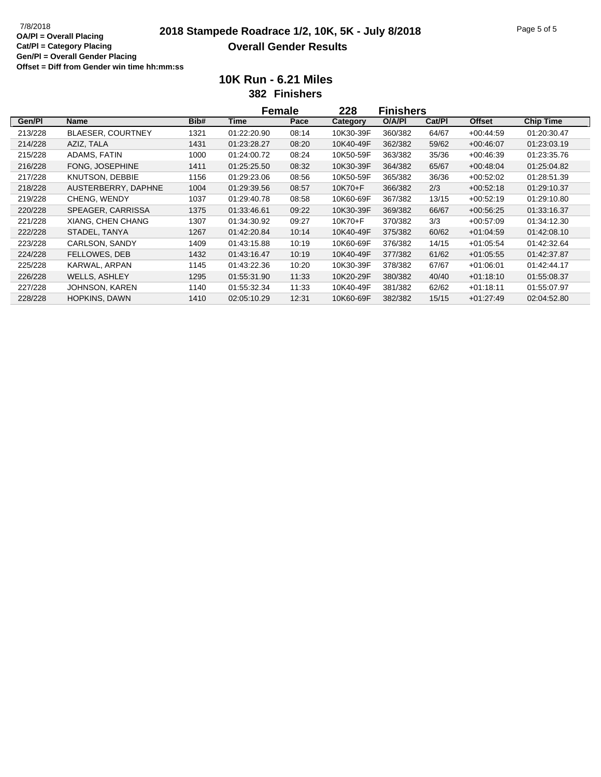# **2018 Stampede Roadrace 1/2, 10K, 5K - July 8/2018** 7/8/2018 Page 5 of 5 **Overall Gender Results**

**10K Run - 6.21 Miles**

**382 Finishers**

|         |                          |      | Female      |       | 228       | <b>Finishers</b> |        |               |                  |
|---------|--------------------------|------|-------------|-------|-----------|------------------|--------|---------------|------------------|
| Gen/Pl  | Name                     | Bib# | Time        | Pace  | Category  | O/A/PI           | Cat/PI | <b>Offset</b> | <b>Chip Time</b> |
| 213/228 | <b>BLAESER, COURTNEY</b> | 1321 | 01:22:20.90 | 08:14 | 10K30-39F | 360/382          | 64/67  | $+00.44:59$   | 01:20:30.47      |
| 214/228 | AZIZ, TALA               | 1431 | 01:23:28.27 | 08:20 | 10K40-49F | 362/382          | 59/62  | $+00.46.07$   | 01:23:03.19      |
| 215/228 | ADAMS, FATIN             | 1000 | 01:24:00.72 | 08:24 | 10K50-59F | 363/382          | 35/36  | $+00.46.39$   | 01:23:35.76      |
| 216/228 | FONG, JOSEPHINE          | 1411 | 01:25:25.50 | 08:32 | 10K30-39F | 364/382          | 65/67  | $+00.48.04$   | 01:25:04.82      |
| 217/228 | KNUTSON, DEBBIE          | 1156 | 01:29:23.06 | 08:56 | 10K50-59F | 365/382          | 36/36  | $+00.52.02$   | 01:28:51.39      |
| 218/228 | AUSTERBERRY, DAPHNE      | 1004 | 01:29:39.56 | 08:57 | 10K70+F   | 366/382          | 2/3    | $+00.52:18$   | 01:29:10.37      |
| 219/228 | CHENG, WENDY             | 1037 | 01:29:40.78 | 08:58 | 10K60-69F | 367/382          | 13/15  | $+00:52:19$   | 01:29:10.80      |
| 220/228 | SPEAGER, CARRISSA        | 1375 | 01:33:46.61 | 09:22 | 10K30-39F | 369/382          | 66/67  | $+00.56.25$   | 01:33:16.37      |
| 221/228 | XIANG, CHEN CHANG        | 1307 | 01:34:30.92 | 09:27 | 10K70+F   | 370/382          | 3/3    | $+00.57:09$   | 01:34:12.30      |
| 222/228 | STADEL, TANYA            | 1267 | 01:42:20.84 | 10:14 | 10K40-49F | 375/382          | 60/62  | $+01.04.59$   | 01:42:08.10      |
| 223/228 | CARLSON, SANDY           | 1409 | 01:43:15.88 | 10:19 | 10K60-69F | 376/382          | 14/15  | $+01:05:54$   | 01:42:32.64      |
| 224/228 | FELLOWES, DEB            | 1432 | 01:43:16.47 | 10:19 | 10K40-49F | 377/382          | 61/62  | $+01:05:55$   | 01:42:37.87      |
| 225/228 | KARWAL, ARPAN            | 1145 | 01:43:22.36 | 10:20 | 10K30-39F | 378/382          | 67/67  | $+01:06:01$   | 01:42:44.17      |
| 226/228 | <b>WELLS, ASHLEY</b>     | 1295 | 01:55:31.90 | 11:33 | 10K20-29F | 380/382          | 40/40  | $+01:18:10$   | 01:55:08.37      |
| 227/228 | JOHNSON, KAREN           | 1140 | 01:55:32.34 | 11:33 | 10K40-49F | 381/382          | 62/62  | $+01:18:11$   | 01:55:07.97      |
| 228/228 | <b>HOPKINS, DAWN</b>     | 1410 | 02:05:10.29 | 12:31 | 10K60-69F | 382/382          | 15/15  | $+01.27.49$   | 02:04:52.80      |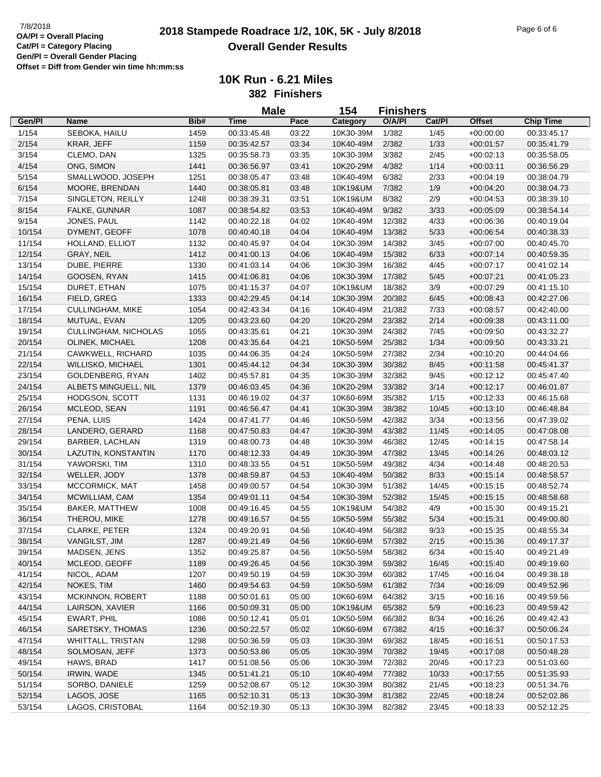### **2018 Stampede Roadrace 1/2, 10K, 5K - July 8/2018** 7/8/2018 Page 6 of 6 **Overall Gender Results**

|        |                          |      | <b>Male</b> |       | 154       | <b>Finishers</b> |        |               |                  |
|--------|--------------------------|------|-------------|-------|-----------|------------------|--------|---------------|------------------|
| Gen/Pl | <b>Name</b>              | Bib# | Time        | Pace  | Category  | O/A/PI           | Cat/Pl | <b>Offset</b> | <b>Chip Time</b> |
| 1/154  | SEBOKA, HAILU            | 1459 | 00:33:45.48 | 03:22 | 10K30-39M | 1/382            | 1/45   | $+00:00:00$   | 00:33:45.17      |
| 2/154  | KRAR, JEFF               | 1159 | 00:35:42.57 | 03:34 | 10K40-49M | 2/382            | 1/33   | $+00:01:57$   | 00:35:41.79      |
| 3/154  | CLEMO, DAN               | 1325 | 00:35:58.73 | 03:35 | 10K30-39M | 3/382            | 2/45   | $+00:02:13$   | 00:35:58.05      |
| 4/154  | ONG, SIMON               | 1441 | 00:36:56.97 | 03:41 | 10K20-29M | 4/382            | 1/14   | $+00:03:11$   | 00:36:56.29      |
| 5/154  | SMALLWOOD, JOSEPH        | 1251 | 00:38:05.47 | 03:48 | 10K40-49M | 6/382            | 2/33   | $+00:04:19$   | 00:38:04.79      |
| 6/154  | MOORE, BRENDAN           | 1440 | 00:38:05.81 | 03:48 | 10K19&UM  | 7/382            | 1/9    | $+00:04:20$   | 00:38:04.73      |
| 7/154  | SINGLETON, REILLY        | 1248 | 00:38:39.31 | 03:51 | 10K19&UM  | 8/382            | 2/9    | $+00:04:53$   | 00:38:39.10      |
| 8/154  | FALKE, GUNNAR            | 1087 | 00:38:54.82 | 03:53 | 10K40-49M | 9/382            | 3/33   | $+00:05:09$   | 00:38:54.14      |
| 9/154  | JONES, PAUL              | 1142 | 00:40:22.18 | 04:02 | 10K40-49M | 12/382           | 4/33   | $+00:06:36$   | 00:40:19.04      |
| 10/154 | DYMENT, GEOFF            | 1078 | 00:40:40.18 | 04:04 | 10K40-49M | 13/382           | 5/33   | $+00.06.54$   | 00:40:38.33      |
| 11/154 | HOLLAND, ELLIOT          | 1132 | 00:40:45.97 | 04:04 | 10K30-39M | 14/382           | 3/45   | $+00:07:00$   | 00:40:45.70      |
| 12/154 | GRAY, NEIL               | 1412 | 00:41:00.13 | 04:06 | 10K40-49M | 15/382           | 6/33   | $+00:07:14$   | 00:40:59.35      |
| 13/154 | DUBE, PIERRE             | 1330 | 00:41:03.14 | 04:06 | 10K30-39M | 16/382           | 4/45   | $+00:07:17$   | 00:41:02.14      |
| 14/154 | GOOSEN, RYAN             | 1415 | 00:41:06.81 | 04:06 | 10K30-39M | 17/382           | 5/45   | $+00:07:21$   | 00:41:05.23      |
| 15/154 | DURET, ETHAN             | 1075 | 00:41:15.37 | 04:07 | 10K19&UM  | 18/382           | 3/9    | $+00:07:29$   | 00:41:15.10      |
| 16/154 | FIELD, GREG              | 1333 | 00:42:29.45 | 04:14 | 10K30-39M | 20/382           | 6/45   | $+00:08:43$   | 00:42:27.06      |
| 17/154 | <b>CULLINGHAM, MIKE</b>  | 1054 | 00:42:43.34 | 04:16 | 10K40-49M | 21/382           | 7/33   | $+00:08:57$   | 00:42:40.00      |
| 18/154 | MUTUAL, EVAN             | 1205 | 00:43:23.60 | 04:20 | 10K20-29M | 23/382           | 2/14   | $+00.09.38$   | 00:43:11.00      |
| 19/154 | CULLINGHAM, NICHOLAS     | 1055 | 00:43:35.61 | 04:21 | 10K30-39M | 24/382           | 7/45   | $+00:09:50$   | 00:43:32.27      |
| 20/154 | <b>OLINEK, MICHAEL</b>   | 1208 | 00:43:35.64 | 04:21 | 10K50-59M | 25/382           | 1/34   | $+00:09:50$   | 00:43:33.21      |
| 21/154 | CAWKWELL, RICHARD        | 1035 | 00:44:06.35 | 04:24 | 10K50-59M | 27/382           | 2/34   | $+00:10:20$   | 00:44:04.66      |
| 22/154 | <b>WILLISKO, MICHAEL</b> | 1301 | 00:45:44.12 | 04:34 | 10K30-39M | 30/382           | 8/45   | $+00:11:58$   | 00:45:41.37      |
| 23/154 | GOLDENBERG, RYAN         | 1402 | 00:45:57.81 | 04:35 | 10K30-39M | 32/382           | 9/45   | $+00:12:12$   | 00:45:47.40      |
| 24/154 | ALBETS MINGUELL, NIL     | 1379 | 00:46:03.45 | 04:36 | 10K20-29M | 33/382           | 3/14   | $+00:12:17$   | 00:46:01.87      |
| 25/154 | HODGSON, SCOTT           | 1131 | 00:46:19.02 | 04:37 | 10K60-69M | 35/382           | 1/15   | $+00:12:33$   | 00:46:15.68      |
| 26/154 | MCLEOD, SEAN             | 1191 | 00:46:56.47 | 04:41 | 10K30-39M | 38/382           | 10/45  | $+00:13:10$   | 00:46:48.84      |
| 27/154 | PENA, LUIS               | 1424 | 00:47:41.77 | 04:46 | 10K50-59M | 42/382           | 3/34   | $+00:13:56$   | 00:47:39.02      |
| 28/154 | LANDERO, GERARD          | 1168 | 00:47:50.83 | 04:47 | 10K30-39M | 43/382           | 11/45  | $+00:14:05$   | 00:47:08.08      |
| 29/154 | BARBER, LACHLAN          | 1319 | 00:48:00.73 | 04:48 | 10K30-39M | 46/382           | 12/45  | $+00:14:15$   | 00:47:58.14      |
| 30/154 | LAZUTIN, KONSTANTIN      | 1170 | 00:48:12.33 | 04:49 | 10K30-39M | 47/382           | 13/45  | $+00:14:26$   | 00:48:03.12      |
| 31/154 | YAWORSKI, TIM            | 1310 | 00:48:33.55 | 04:51 | 10K50-59M | 49/382           | 4/34   | $+00:14:48$   | 00:48:20.53      |
| 32/154 | WELLER, JODY             | 1378 | 00:48:59.87 | 04:53 | 10K40-49M | 50/382           | 8/33   | $+00:15:14$   | 00:48:58.57      |
| 33/154 | MCCORMICK, MAT           | 1458 | 00:49:00.57 | 04:54 | 10K30-39M | 51/382           | 14/45  | $+00:15:15$   | 00:48:52.74      |
| 34/154 | MCWILLIAM, CAM           | 1354 | 00:49:01.11 | 04:54 | 10K30-39M | 52/382           | 15/45  | $+00:15:15$   | 00:48:58.68      |
| 35/154 | <b>BAKER, MATTHEW</b>    | 1008 | 00:49:16.45 | 04:55 | 10K19&UM  | 54/382           | 4/9    | $+00:15:30$   | 00:49:15.21      |
| 36/154 | THEROU, MIKE             | 1278 | 00:49:16.57 | 04:55 | 10K50-59M | 55/382           | 5/34   | $+00:15:31$   | 00:49:00.80      |
| 37/154 | CLARKE, PETER            | 1324 | 00:49:20.91 | 04:56 | 10K40-49M | 56/382           | 9/33   | $+00:15:35$   | 00:48:55.34      |
| 38/154 | VANGILST, JIM            | 1287 | 00:49:21.49 | 04:56 | 10K60-69M | 57/382           | 2/15   | $+00:15:36$   | 00:49:17.37      |
| 39/154 | MADSEN, JENS             | 1352 | 00:49:25.87 | 04:56 | 10K50-59M | 58/382           | 6/34   | $+00:15:40$   | 00:49:21.49      |
| 40/154 | MCLEOD, GEOFF            | 1189 | 00:49:26.45 | 04:56 | 10K30-39M | 59/382           | 16/45  | $+00:15:40$   | 00:49:19.60      |
| 41/154 | NICOL, ADAM              | 1207 | 00:49:50.19 | 04:59 | 10K30-39M | 60/382           | 17/45  | $+00:16:04$   | 00:49:38.18      |
| 42/154 | NOKES, TIM               | 1460 | 00:49:54.63 | 04:59 | 10K50-59M | 61/382           | 7/34   | $+00:16:09$   | 00:49:52.96      |
| 43/154 | MCKINNON, ROBERT         | 1188 | 00:50:01.61 | 05:00 | 10K60-69M | 64/382           | 3/15   | $+00:16:16$   | 00:49:59.56      |
| 44/154 | LAIRSON, XAVIER          | 1166 | 00:50:09.31 | 05:00 | 10K19&UM  | 65/382           | 5/9    | $+00:16:23$   | 00:49:59.42      |
| 45/154 | EWART, PHIL              | 1086 | 00:50:12.41 | 05:01 | 10K50-59M | 66/382           | 8/34   | $+00:16:26$   | 00:49:42.43      |
| 46/154 | SARETSKY, THOMAS         | 1236 | 00:50:22.57 | 05:02 | 10K60-69M | 67/382           | 4/15   | $+00:16:37$   | 00:50:06.24      |
| 47/154 | <b>WHITTALL, TRISTAN</b> | 1298 | 00:50:36.59 | 05:03 | 10K30-39M | 69/382           | 18/45  | $+00:16:51$   | 00:50:17.53      |
| 48/154 | SOLMOSAN, JEFF           | 1373 | 00:50:53.86 | 05:05 | 10K30-39M | 70/382           | 19/45  | $+00:17:08$   | 00:50:48.28      |
| 49/154 | HAWS, BRAD               | 1417 | 00:51:08.56 | 05:06 | 10K30-39M | 72/382           | 20/45  | $+00:17:23$   | 00:51:03.60      |
| 50/154 | IRWIN, WADE              | 1345 | 00:51:41.21 | 05:10 | 10K40-49M | 77/382           | 10/33  | $+00:17:55$   | 00:51:35.93      |
| 51/154 | SORBO, DANIELE           | 1259 | 00:52:08.67 | 05:12 | 10K30-39M | 80/382           | 21/45  | $+00:18:23$   | 00:51:34.76      |
| 52/154 | LAGOS, JOSE              | 1165 | 00:52:10.31 | 05:13 | 10K30-39M | 81/382           | 22/45  | $+00:18:24$   | 00:52:02.86      |
| 53/154 | LAGOS, CRISTOBAL         | 1164 | 00:52:19.30 | 05:13 | 10K30-39M | 82/382           | 23/45  | $+00:18:33$   | 00:52:12.25      |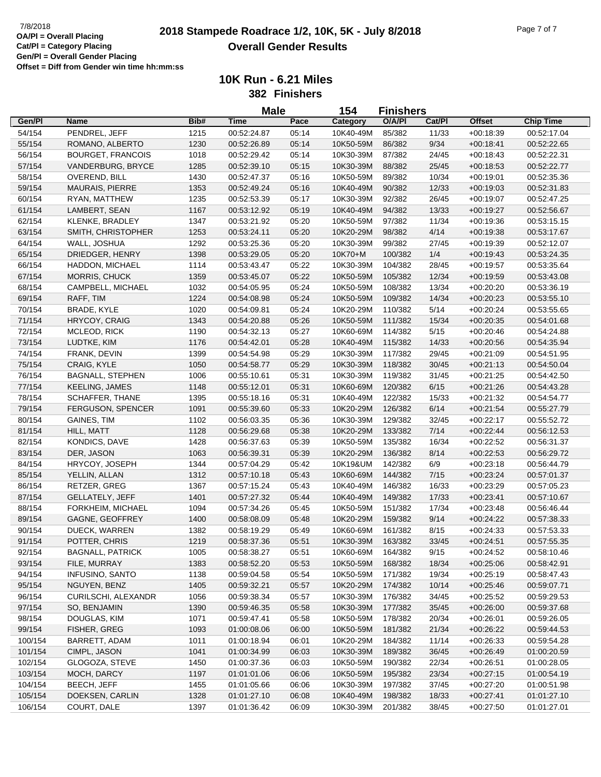## **2018**  $\frac{7}{8}/2018$  Placing **2018 Stampede Roadrace 1/2, 10K, 5K - July 8/2018** Page 7 of 7 **Overall Gender Results**

|         |                          |      | <b>Male</b>                |       | 154                    | <b>Finishers</b>   |               |                            |                            |
|---------|--------------------------|------|----------------------------|-------|------------------------|--------------------|---------------|----------------------------|----------------------------|
| Gen/Pl  | <b>Name</b>              | Bib# | Time                       | Pace  | Category               | O/A/PI             | Cat/Pl        | <b>Offset</b>              | <b>Chip Time</b>           |
| 54/154  | PENDREL, JEFF            | 1215 | 00:52:24.87                | 05:14 | 10K40-49M              | 85/382             | 11/33         | $+00:18:39$                | 00:52:17.04                |
| 55/154  | ROMANO, ALBERTO          | 1230 | 00:52:26.89                | 05:14 | 10K50-59M              | 86/382             | 9/34          | $+00:18:41$                | 00:52:22.65                |
| 56/154  | <b>BOURGET, FRANCOIS</b> | 1018 | 00:52:29.42                | 05:14 | 10K30-39M              | 87/382             | 24/45         | $+00:18:43$                | 00:52:22.31                |
| 57/154  | VANDERBURG, BRYCE        | 1285 | 00:52:39.10                | 05:15 | 10K30-39M              | 88/382             | 25/45         | $+00:18:53$                | 00:52:22.77                |
| 58/154  | OVEREND, BILL            | 1430 | 00:52:47.37                | 05:16 | 10K50-59M              | 89/382             | 10/34         | $+00:19:01$                | 00:52:35.36                |
| 59/154  | <b>MAURAIS, PIERRE</b>   | 1353 | 00:52:49.24                | 05:16 | 10K40-49M              | 90/382             | 12/33         | $+00:19:03$                | 00:52:31.83                |
| 60/154  | RYAN, MATTHEW            | 1235 | 00:52:53.39                | 05:17 | 10K30-39M              | 92/382             | 26/45         | $+00:19:07$                | 00:52:47.25                |
| 61/154  | LAMBERT, SEAN            | 1167 | 00:53:12.92                | 05:19 | 10K40-49M              | 94/382             | 13/33         | $+00:19:27$                | 00:52:56.67                |
| 62/154  | KLENKE, BRADLEY          | 1347 | 00:53:21.92                | 05:20 | 10K50-59M              | 97/382             | 11/34         | $+00:19:36$                | 00:53:15.15                |
| 63/154  | SMITH, CHRISTOPHER       | 1253 | 00:53:24.11                | 05:20 | 10K20-29M              | 98/382             | 4/14          | $+00:19:38$                | 00:53:17.67                |
| 64/154  | WALL, JOSHUA             | 1292 | 00:53:25.36                | 05:20 | 10K30-39M              | 99/382             | 27/45         | $+00.19.39$                | 00:52:12.07                |
| 65/154  | DRIEDGER, HENRY          | 1398 | 00:53:29.05                | 05:20 | 10K70+M                | 100/382            | 1/4           | $+00:19:43$                | 00:53:24.35                |
| 66/154  | HADDON, MICHAEL          | 1114 | 00:53:43.47                | 05:22 | 10K30-39M              | 104/382            | 28/45         | $+00:19:57$                | 00:53:35.64                |
| 67/154  | MORRIS, CHUCK            | 1359 | 00:53:45.07                | 05:22 | 10K50-59M              | 105/382            | 12/34         | $+00:19:59$                | 00:53:43.08                |
| 68/154  | CAMPBELL, MICHAEL        | 1032 | 00:54:05.95                | 05:24 | 10K50-59M              | 108/382            | 13/34         | $+00:20:20$                | 00:53:36.19                |
| 69/154  | RAFF, TIM                | 1224 | 00:54:08.98                | 05:24 | 10K50-59M              | 109/382            | 14/34         | $+00:20:23$                | 00:53:55.10                |
| 70/154  | BRADE, KYLE              | 1020 | 00:54:09.81                | 05:24 | 10K20-29M              | 110/382            | 5/14          | $+00:20:24$                | 00:53:55.65                |
| 71/154  | HRYCOY, CRAIG            | 1343 | 00:54:20.88                | 05:26 | 10K50-59M              | 111/382            | 15/34         | $+00:20:35$                | 00:54:01.68                |
| 72/154  | MCLEOD, RICK             | 1190 | 00:54:32.13                | 05:27 | 10K60-69M              | 114/382            | 5/15          | $+00:20:46$                | 00:54:24.88                |
| 73/154  | LUDTKE, KIM              | 1176 | 00:54:42.01                | 05:28 | 10K40-49M              | 115/382            | 14/33         | $+00:20:56$                | 00:54:35.94                |
| 74/154  | FRANK, DEVIN             | 1399 | 00:54:54.98                | 05:29 | 10K30-39M              | 117/382            | 29/45         | $+00:21:09$                | 00:54:51.95                |
| 75/154  | CRAIG, KYLE              | 1050 | 00:54:58.77                | 05:29 | 10K30-39M              | 118/382            | 30/45         | $+00:21:13$                | 00:54:50.04                |
| 76/154  | <b>BAGNALL, STEPHEN</b>  | 1006 | 00:55:10.61                | 05:31 | 10K30-39M              | 119/382            | 31/45         | $+00:21:25$                | 00:54:42.50                |
| 77/154  | <b>KEELING, JAMES</b>    | 1148 | 00:55:12.01                | 05:31 | 10K60-69M              | 120/382            | 6/15          | $+00:21:26$                | 00:54:43.28                |
| 78/154  | <b>SCHAFFER, THANE</b>   | 1395 | 00:55:18.16                | 05:31 | 10K40-49M              | 122/382            | 15/33         | $+00:21:32$                | 00:54:54.77                |
| 79/154  | FERGUSON, SPENCER        | 1091 | 00:55:39.60                | 05:33 | 10K20-29M              | 126/382            | 6/14          | $+00:21:54$                | 00:55:27.79                |
| 80/154  | GAINES, TIM              | 1102 | 00:56:03.35                | 05:36 | 10K30-39M              | 129/382            | 32/45         | $+00:22:17$                | 00:55:52.72                |
| 81/154  | HILL, MATT               | 1128 | 00:56:29.68                | 05:38 | 10K20-29M              | 133/382            | 7/14          | $+00:22:44$                | 00:56:12.53                |
| 82/154  | KONDICS, DAVE            | 1428 | 00:56:37.63                | 05:39 | 10K50-59M              | 135/382            | 16/34         | $+00:22:52$                | 00:56:31.37                |
| 83/154  | DER, JASON               | 1063 | 00:56:39.31                | 05:39 | 10K20-29M              | 136/382            | 8/14          |                            |                            |
| 84/154  | HRYCOY, JOSEPH           | 1344 | 00:57:04.29                | 05:42 | 10K19&UM               | 142/382            | 6/9           | $+00:22:53$<br>$+00:23:18$ | 00:56:29.72<br>00:56:44.79 |
| 85/154  |                          | 1312 | 00:57:10.18                | 05:43 | 10K60-69M              | 144/382            |               | $+00:23:24$                |                            |
| 86/154  | YELLIN, ALLAN            | 1367 | 00:57:15.24                | 05:43 | 10K40-49M              | 146/382            | 7/15<br>16/33 | $+00:23:29$                | 00:57:01.37<br>00:57:05.23 |
|         | RETZER, GREG             |      |                            |       |                        |                    |               |                            |                            |
| 87/154  | <b>GELLATELY, JEFF</b>   | 1401 | 00:57:27.32<br>00:57:34.26 | 05:44 | 10K40-49M              | 149/382            | 17/33         | $+00.23.41$                | 00:57:10.67                |
| 88/154  | FORKHEIM, MICHAEL        | 1094 |                            | 05:45 | 10K50-59M              | 151/382            | 17/34         | $+00:23:48$                | 00:56:46.44                |
| 89/154  | GAGNE, GEOFFREY          | 1400 | 00:58:08.09                | 05:48 | 10K20-29M<br>10K60-69M | 159/382<br>161/382 | 9/14<br>8/15  | $+00:24:22$                | 00:57:38.33                |
| 90/154  | DUECK, WARREN            | 1382 | 00:58:19.29                | 05:49 |                        |                    |               | $+00:24:33$                | 00:57:53.33                |
| 91/154  | POTTER, CHRIS            | 1219 | 00:58:37.36                | 05:51 | 10K30-39M              | 163/382            | 33/45         | $+00:24:51$                | 00:57:55.35                |
| 92/154  | <b>BAGNALL, PATRICK</b>  | 1005 | 00:58:38.27                | 05:51 | 10K60-69M              | 164/382            | 9/15          | $+00:24:52$                | 00:58:10.46                |
| 93/154  | FILE, MURRAY             | 1383 | 00:58:52.20                | 05:53 | 10K50-59M              | 168/382            | 18/34         | $+00:25:06$                | 00:58:42.91                |
| 94/154  | INFUSINO, SANTO          | 1138 | 00:59:04.58                | 05:54 | 10K50-59M              | 171/382            | 19/34         | $+00:25:19$                | 00:58:47.43                |
| 95/154  | NGUYEN, BENZ             | 1405 | 00:59:32.21                | 05:57 | 10K20-29M              | 174/382            | 10/14         | $+00.25:46$                | 00:59:07.71                |
| 96/154  | CURILSCHI, ALEXANDR      | 1056 | 00:59:38.34                | 05:57 | 10K30-39M              | 176/382            | 34/45         | $+00:25:52$                | 00:59:29.53                |
| 97/154  | SO, BENJAMIN             | 1390 | 00:59:46.35                | 05:58 | 10K30-39M              | 177/382            | 35/45         | $+00:26:00$                | 00:59:37.68                |
| 98/154  | DOUGLAS, KIM             | 1071 | 00:59:47.41                | 05:58 | 10K50-59M              | 178/382            | 20/34         | $+00:26:01$                | 00:59:26.05                |
| 99/154  | FISHER, GREG             | 1093 | 01:00:08.06                | 06:00 | 10K50-59M              | 181/382            | 21/34         | $+00:26:22$                | 00:59:44.53                |
| 100/154 | BARRETT, ADAM            | 1011 | 01:00:18.94                | 06:01 | 10K20-29M              | 184/382            | 11/14         | $+00:26:33$                | 00:59:54.28                |
| 101/154 | CIMPL, JASON             | 1041 | 01:00:34.99                | 06:03 | 10K30-39M              | 189/382            | 36/45         | $+00.26:49$                | 01:00:20.59                |
| 102/154 | GLOGOZA, STEVE           | 1450 | 01:00:37.36                | 06:03 | 10K50-59M              | 190/382            | 22/34         | $+00:26:51$                | 01:00:28.05                |
| 103/154 | MOCH, DARCY              | 1197 | 01:01:01.06                | 06:06 | 10K50-59M              | 195/382            | 23/34         | $+00:27:15$                | 01:00:54.19                |
| 104/154 | <b>BEECH, JEFF</b>       | 1455 | 01:01:05.66                | 06:06 | 10K30-39M              | 197/382            | 37/45         | $+00:27:20$                | 01:00:51.98                |
| 105/154 | DOEKSEN, CARLIN          | 1328 | 01:01:27.10                | 06:08 | 10K40-49M              | 198/382            | 18/33         | $+00.27:41$                | 01:01:27.10                |
| 106/154 | COURT, DALE              | 1397 | 01:01:36.42                | 06:09 | 10K30-39M              | 201/382            | 38/45         | $+00:27:50$                | 01:01:27.01                |